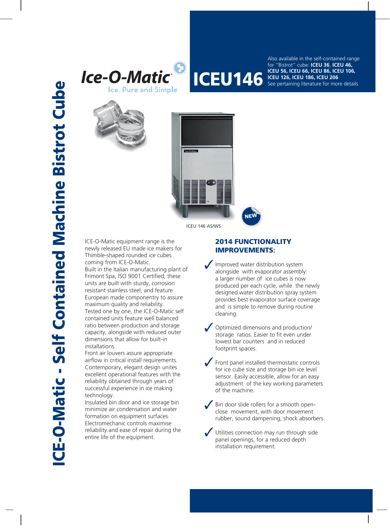



**ICEU 146 ICEU 56, ICEU 66, ICEU 86, ICEU 106,**<br>**ICEU 146 ICEU 126, ICEU 186, ICEU 206**<br>See pertaining literature for more detail: Also available in the self-contained range for "Bistrot" cube: **ICEU 36**, **ICEU 46, ICEU 126, ICEU 186, ICEU 206** See pertaining literature for more details





ICEU 146 AS/WS

ICE-O-Matic equipment range is the newly released EU made ice makers for Thimble-shaped rounded ice cubes coming from ICE-O-Matic. Built in the Italian manufacturing plant of Frimont Spa, ISO 9001 Certified, these units are built with sturdy, corrosion resistant stainless steel, and feature European made componentry to assure maximum quality and reliability. Tested one by one, the ICE-O-Matic self contained units feature well balanced ratio between production and storage capacity, alongside with reduced outer dimensions that allow for built-in installations.

Front air louvers assure appropriate airflow in critical install requirements. Contemporary, elegant design unites excellent operational features with the reliability obtained through years of successful experience in ice making technology.

Insulated bin door and ice storage bin minimize air condensation and water formation on equipment surfaces. Electromechanic controls maximise reliability and ease of repair during the entire life of the equipment.

## **2014 FUNCTIONALITY 014 FUNCTIONALI IMPROVEMENTS:**

Improved water distribution system alongside with evaporator assembly: a larger number of ice cubes is now produced per each cycle, while the newly designed water distribution spray system provides best evaporator surface coverage and is simple to remove during routine cleaning.

Optimized dimensions and production/ storage ratios. Easier to fit even under lowest bar counters and in reduced footprint spaces.

- Front panel installed thermostatic controls for ice cube size and storage bin ice level sensor. Easily accessible, allow for an easy adjustment of the key working parameters of the machine.
- Bin door slide rollers for a smooth openclose movement, with door movement rubber, sound dampening, shock absorbers.

Utilities connection may run through side panel openings, for a reduced depth installation requirement.